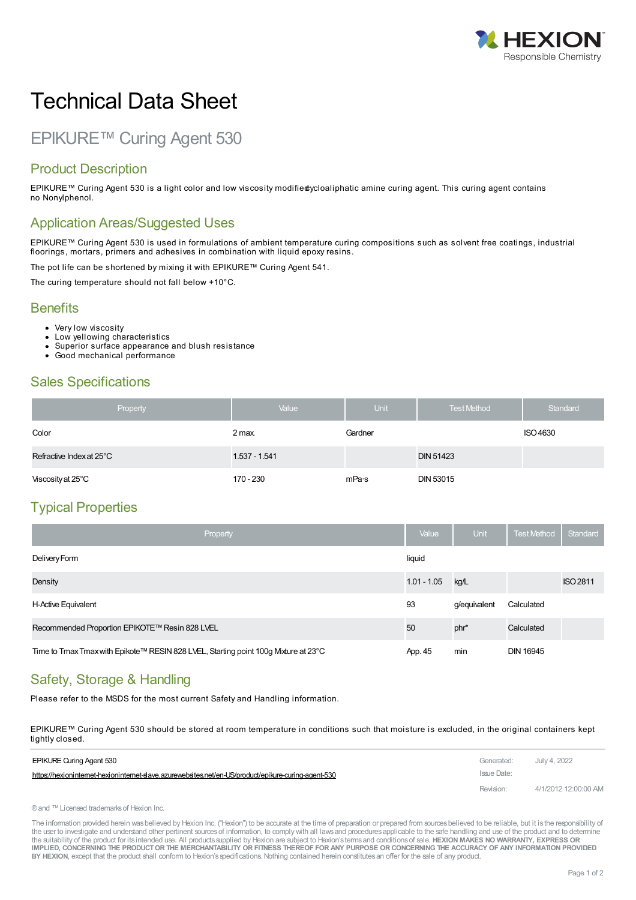

# Technical Data Sheet

# EPIKURE™ Curing Agent 530

#### Product Description

EPIKURE™ Curing Agent 530 is a light color and low viscosity modifiedycloaliphatic amine curing agent. This curing agent contains no Nonylphenol.

#### Application Areas/Suggested Uses

EPIKURE™ Curing Agent 530 is used in formulations of ambient temperature curing compositions such as solvent free coatings, industrial floorings, mortars, primers and adhesives in combination with liquid epoxy resins.

The pot life can be shortened by mixing it with EPIKURE™ Curing Agent 541.

The curing temperature should not fall below +10°C.

#### **Benefits**

- Very low viscosity
- Low yellowing characteristics
- Superior surface appearance and blush resistance
- Good mechanical performance  $\bullet$

## Sales Specifications

| Property                 | Value         | <b>Unit</b> | <b>Test Method</b> | Standard |
|--------------------------|---------------|-------------|--------------------|----------|
| Color                    | 2 max.        | Gardner     |                    | ISO 4630 |
| Refractive Index at 25°C | 1.537 - 1.541 |             | <b>DIN 51423</b>   |          |
| Viscosity at 25°C        | 170 - 230     | mPa∙s       | <b>DIN 53015</b>   |          |

### Typical Properties

| Property                                                                           | Value         | <b>Unit</b>  | <b>Test Method</b> | Standard        |
|------------------------------------------------------------------------------------|---------------|--------------|--------------------|-----------------|
| Delivery Form                                                                      | liquid        |              |                    |                 |
| Density                                                                            | $1.01 - 1.05$ | kg/L         |                    | <b>ISO 2811</b> |
| H-Active Equivalent                                                                | 93            | g/equivalent | Calculated         |                 |
| Recommended Proportion EPIKOTE™ Resin 828 LVEL                                     | 50            | phr*         | Calculated         |                 |
| Time to Tmax Tmax with Epikote™ RESIN 828 LVEL, Starting point 100g Mxture at 23°C | App. 45       | min          | <b>DIN 16945</b>   |                 |

# Safety, Storage & Handling

Please refer to the MSDS for the most current Safety and Handling information.

EPIKURE™ Curing Agent 530 should be stored at room temperature in conditions such that moisture is excluded, in the original containers kept tightly [closed.](https://hexioninternet-hexioninternet-slave.azurewebsites.net/en-US/product/epikure-curing-agent-530)

| <b>EPIKURE Curing Agent 530</b>                                                                     | Generated:  | July 4, 2022         |
|-----------------------------------------------------------------------------------------------------|-------------|----------------------|
| https://hexioninternet-hexioninternet-daye.azurewebsites.net/en-US/product/epikure-curing-agent-530 | Issue Date: |                      |
|                                                                                                     | Revision:   | 4/1/2012 12:00:00 AM |

®and ™Licensed trademarksof Hexion Inc.

The information provided herein was believed by Hexion Inc. ("Hexion") to be accurate at the time of preparation or prepared from sources believed to be reliable, but it is the responsibility of the user to investigate and understand other pertinent sources of information, to comply with all laws and procedures applicable to the safe handling and use of the product and to determine the suitability of the product for itsintended use. All productssupplied by Hexion are subject to Hexion'stermsand conditionsof sale. **HEXION MAKES NO WARRANTY, EXPRESS OR** IMPLIED, CONCERNING THE PRODUCT OR THE MERCHANTABILITY OR FITNESS THEREOF FOR ANY PURPOSE OR CONCERNING THE ACCURACY OF ANY INFORMATION PROVIDED **BY HEXION**, except that the product shall conform to Hexion'sspecifications. Nothing contained herein constitutesan offer for the sale of any product.